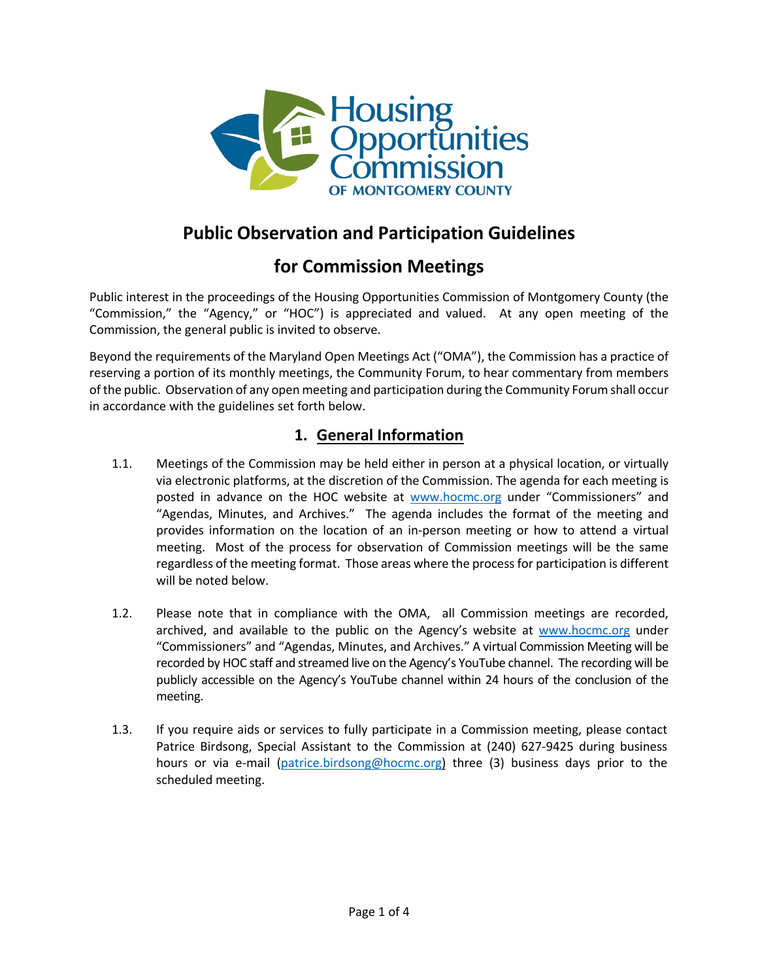

## **Public Observation and Participation Guidelines**

# **for Commission Meetings**

Public interest in the proceedings of the Housing Opportunities Commission of Montgomery County (the "Commission," the "Agency," or "HOC") is appreciated and valued. At any open meeting of the Commission, the general public is invited to observe.

Beyond the requirements of the Maryland Open Meetings Act ("OMA"), the Commission has a practice of reserving a portion of its monthly meetings, the Community Forum, to hear commentary from members of the public. Observation of any open meeting and participation during the Community Forum shall occur in accordance with the guidelines set forth below.

## **1. General Information**

- 1.1. Meetings of the Commission may be held either in person at a physical location, or virtually via electronic platforms, at the discretion of the Commission. The agenda for each meeting is posted in advance on the HOC website at www.hocmc.org under "Commissioners" and "Agendas, Minutes, and Archives." The agenda includes the format of the meeting and provides information on the location of an in-person meeting or how to attend a virtual meeting. Most of the process for observation of Commission meetings will be the same regardless of the meeting format. Those areas where the process for participation is different will be noted below.
- 1.2. Please note that in compliance with the OMA, all Commission meetings are recorded, archived, and available to the public on the Agency's website at www.hocmc.org under "Commissioners" and "Agendas, Minutes, and Archives." A virtual Commission Meeting will be recorded by HOC staff and streamed live on the Agency's YouTube channel. The recording will be publicly accessible on the Agency's YouTube channel within 24 hours of the conclusion of the meeting.
- 1.3. If you require aids or services to fully participate in a Commission meeting, please contact Patrice Birdsong, Special Assistant to the Commission at (240) 627-9425 during business hours or via e-mail (patrice.birdsong@hocmc.org) three (3) business days prior to the scheduled meeting.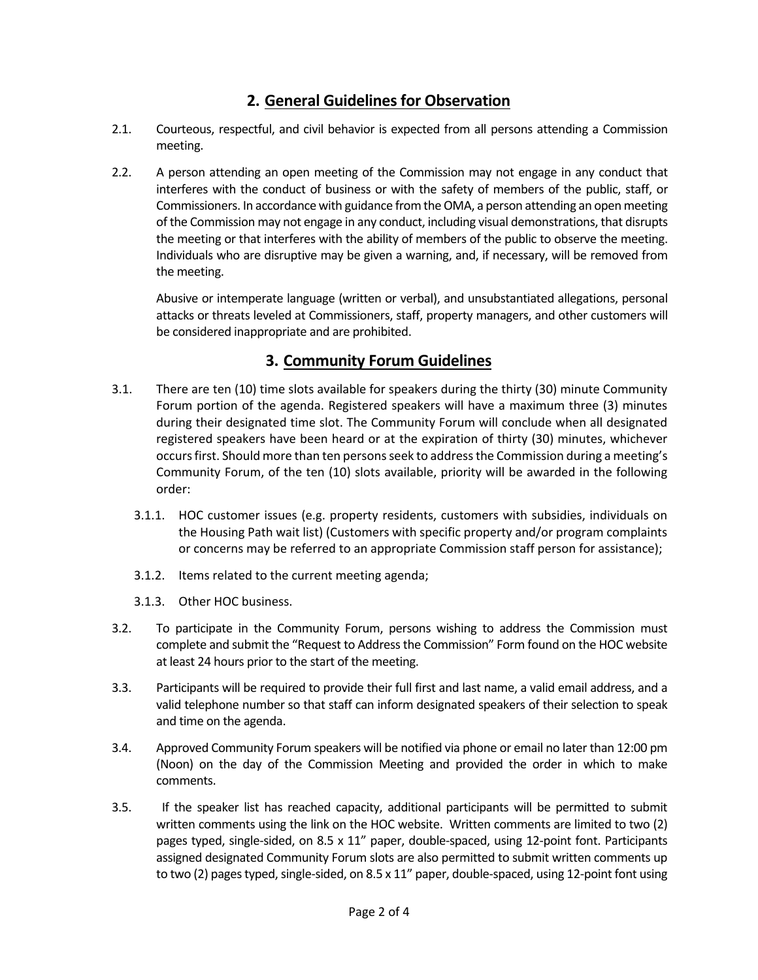## **2. General Guidelines for Observation**

- 2.1. Courteous, respectful, and civil behavior is expected from all persons attending a Commission meeting.
- 2.2. A person attending an open meeting of the Commission may not engage in any conduct that interferes with the conduct of business or with the safety of members of the public, staff, or Commissioners. In accordance with guidance from the OMA, a person attending an open meeting of the Commission may not engage in any conduct, including visual demonstrations, that disrupts the meeting or that interferes with the ability of members of the public to observe the meeting. Individuals who are disruptive may be given a warning, and, if necessary, will be removed from the meeting.

Abusive or intemperate language (written or verbal), and unsubstantiated allegations, personal attacks or threats leveled at Commissioners, staff, property managers, and other customers will be considered inappropriate and are prohibited.

#### **3. Community Forum Guidelines**

- 3.1. There are ten (10) time slots available for speakers during the thirty (30) minute Community Forum portion of the agenda. Registered speakers will have a maximum three (3) minutes during their designated time slot. The Community Forum will conclude when all designated registered speakers have been heard or at the expiration of thirty (30) minutes, whichever occurs first. Should more than ten persons seek to address the Commission during a meeting's Community Forum, of the ten (10) slots available, priority will be awarded in the following order:
	- 3.1.1. HOC customer issues (e.g. property residents, customers with subsidies, individuals on the Housing Path wait list) (Customers with specific property and/or program complaints or concerns may be referred to an appropriate Commission staff person for assistance);
	- 3.1.2. Items related to the current meeting agenda;
	- 3.1.3. Other HOC business.
- 3.2. To participate in the Community Forum, persons wishing to address the Commission must complete and submit the "Request to Address the Commission" Form found on the HOC website at least 24 hours prior to the start of the meeting.
- 3.3. Participants will be required to provide their full first and last name, a valid email address, and a valid telephone number so that staff can inform designated speakers of their selection to speak and time on the agenda.
- 3.4. Approved Community Forum speakers will be notified via phone or email no later than 12:00 pm (Noon) on the day of the Commission Meeting and provided the order in which to make comments.
- 3.5. If the speaker list has reached capacity, additional participants will be permitted to submit written comments using the link on the HOC website. Written comments are limited to two (2) pages typed, single-sided, on 8.5 x 11" paper, double-spaced, using 12-point font. Participants assigned designated Community Forum slots are also permitted to submit written comments up to two (2) pages typed, single-sided, on 8.5 x 11" paper, double-spaced, using 12-point font using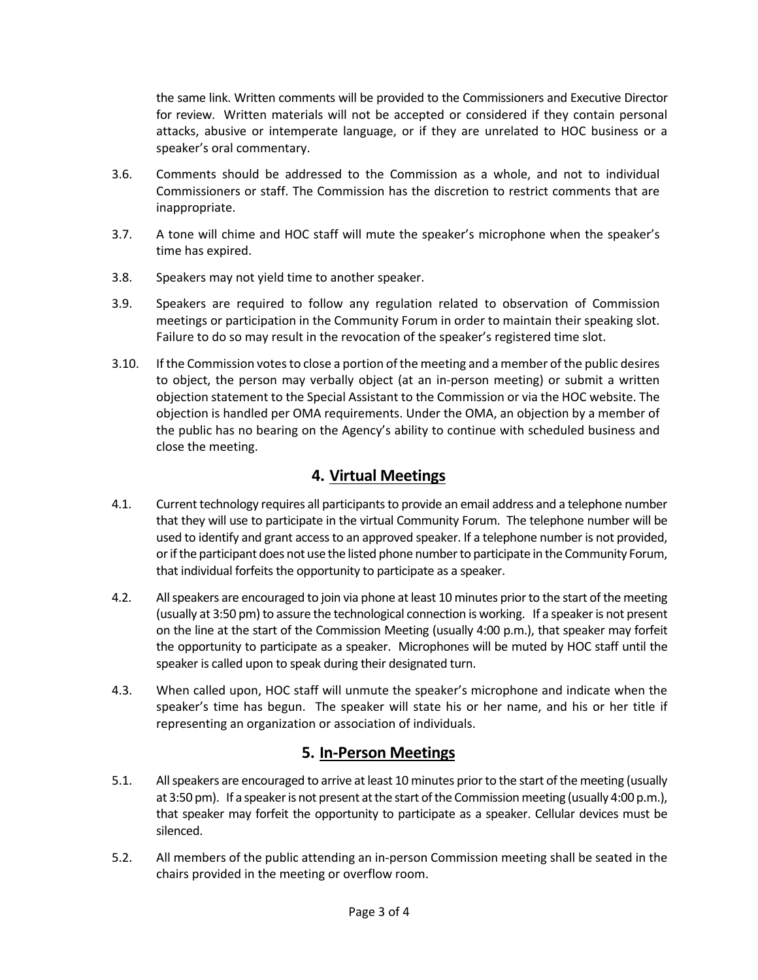the same link. Written comments will be provided to the Commissioners and Executive Director for review. Written materials will not be accepted or considered if they contain personal attacks, abusive or intemperate language, or if they are unrelated to HOC business or a speaker's oral commentary.

- 3.6. Comments should be addressed to the Commission as a whole, and not to individual Commissioners or staff. The Commission has the discretion to restrict comments that are inappropriate.
- 3.7. A tone will chime and HOC staff will mute the speaker's microphone when the speaker's time has expired.
- 3.8. Speakers may not yield time to another speaker.
- 3.9. Speakers are required to follow any regulation related to observation of Commission meetings or participation in the Community Forum in order to maintain their speaking slot. Failure to do so may result in the revocation of the speaker's registered time slot.
- 3.10. If the Commission votes to close a portion of the meeting and a member of the public desires to object, the person may verbally object (at an in-person meeting) or submit a written objection statement to the Special Assistant to the Commission or via the HOC website. The objection is handled per OMA requirements. Under the OMA, an objection by a member of the public has no bearing on the Agency's ability to continue with scheduled business and close the meeting.

## **4. Virtual Meetings**

- 4.1. Current technology requires all participants to provide an email address and a telephone number that they will use to participate in the virtual Community Forum. The telephone number will be used to identify and grant access to an approved speaker. If a telephone number is not provided, or if the participant does not use the listed phone number to participate in the Community Forum, that individual forfeits the opportunity to participate as a speaker.
- 4.2. All speakers are encouraged to join via phone at least 10 minutes prior to the start of the meeting (usually at 3:50 pm) to assure the technological connection is working. If a speaker is not present on the line at the start of the Commission Meeting (usually 4:00 p.m.), that speaker may forfeit the opportunity to participate as a speaker. Microphones will be muted by HOC staff until the speaker is called upon to speak during their designated turn.
- 4.3. When called upon, HOC staff will unmute the speaker's microphone and indicate when the speaker's time has begun. The speaker will state his or her name, and his or her title if representing an organization or association of individuals.

## **5. In-Person Meetings**

- 5.1. All speakers are encouraged to arrive at least 10 minutes prior to the start of the meeting (usually at 3:50 pm). If a speaker is not present at the start of the Commission meeting (usually 4:00 p.m.), that speaker may forfeit the opportunity to participate as a speaker. Cellular devices must be silenced.
- 5.2. All members of the public attending an in-person Commission meeting shall be seated in the chairs provided in the meeting or overflow room.